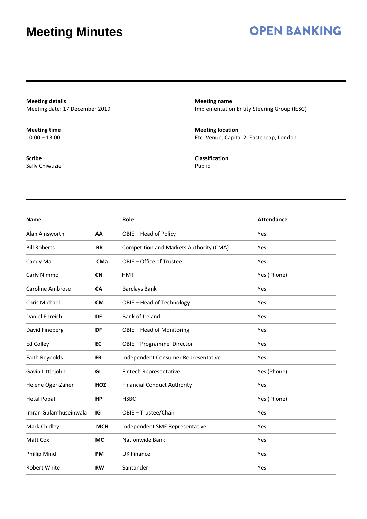### **OPEN BANKING**

**Meeting details** Meeting date: 17 December 2019

**Meeting time**  $10.00 - 13.00$ 

**Scribe** Sally Chiwuzie **Meeting name** Implementation Entity Steering Group (IESG)

**Meeting location** Etc. Venue, Capital 2, Eastcheap, London

**Classification** Public

| <b>Name</b>           |            | Role                                    | <b>Attendance</b> |
|-----------------------|------------|-----------------------------------------|-------------------|
| Alan Ainsworth        | AA         | OBIE - Head of Policy                   | Yes               |
| <b>Bill Roberts</b>   | <b>BR</b>  | Competition and Markets Authority (CMA) | Yes               |
| Candy Ma              | <b>CMa</b> | OBIE - Office of Trustee                | Yes               |
| Carly Nimmo           | <b>CN</b>  | <b>HMT</b>                              | Yes (Phone)       |
| Caroline Ambrose      | CA         | <b>Barclays Bank</b>                    | Yes               |
| Chris Michael         | <b>CM</b>  | OBIE - Head of Technology               | Yes               |
| Daniel Ehreich        | <b>DE</b>  | Bank of Ireland                         | Yes               |
| David Fineberg        | DF         | OBIE - Head of Monitoring               | Yes               |
| Ed Colley             | EC         | OBIE - Programme Director               | Yes               |
| Faith Reynolds        | <b>FR</b>  | Independent Consumer Representative     | Yes               |
| Gavin Littlejohn      | GL         | Fintech Representative                  | Yes (Phone)       |
| Helene Oger-Zaher     | <b>HOZ</b> | <b>Financial Conduct Authority</b>      | Yes               |
| <b>Hetal Popat</b>    | <b>HP</b>  | <b>HSBC</b>                             | Yes (Phone)       |
| Imran Gulamhuseinwala | IG         | OBIE - Trustee/Chair                    | Yes               |
| Mark Chidley          | <b>MCH</b> | Independent SME Representative          | Yes               |
| Matt Cox              | <b>MC</b>  | Nationwide Bank                         | Yes               |
| Phillip Mind          | <b>PM</b>  | <b>UK Finance</b>                       | Yes               |
| <b>Robert White</b>   | <b>RW</b>  | Santander                               | Yes               |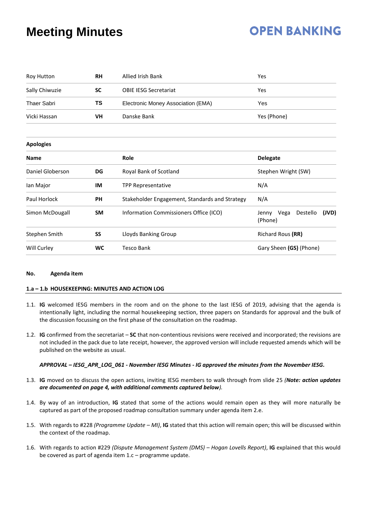# **OPEN BANKING**

| Roy Hutton         | <b>RH</b> | <b>Allied Irish Bank</b>                       | Yes                                        |  |
|--------------------|-----------|------------------------------------------------|--------------------------------------------|--|
| Sally Chiwuzie     | <b>SC</b> | <b>OBIE IESG Secretariat</b>                   | Yes                                        |  |
| <b>Thaer Sabri</b> | TS        | Electronic Money Association (EMA)             | Yes                                        |  |
| Vicki Hassan       | VH        | Danske Bank                                    | Yes (Phone)                                |  |
| <b>Apologies</b>   |           |                                                |                                            |  |
| <b>Name</b>        |           | Role                                           | <b>Delegate</b>                            |  |
| Daniel Globerson   | DG        | Royal Bank of Scotland                         | Stephen Wright (SW)                        |  |
| lan Major          | IM        | <b>TPP Representative</b>                      | N/A                                        |  |
| Paul Horlock       | <b>PH</b> | Stakeholder Engagement, Standards and Strategy | N/A                                        |  |
| Simon McDougall    | SM        | Information Commissioners Office (ICO)         | (JVD)<br>Jenny Vega<br>Destello<br>(Phone) |  |
| Stephen Smith      | SS        | Lloyds Banking Group                           | Richard Rous (RR)                          |  |
| Will Curley        | <b>WC</b> | <b>Tesco Bank</b>                              | Gary Sheen (GS) (Phone)                    |  |

#### **No. Agenda item**

#### **1.a – 1.b HOUSEKEEPING: MINUTES AND ACTION LOG**

- 1.1. **IG** welcomed IESG members in the room and on the phone to the last IESG of 2019, advising that the agenda is intentionally light, including the normal housekeeping section, three papers on Standards for approval and the bulk of the discussion focussing on the first phase of the consultation on the roadmap.
- 1.2. **IG** confirmed from the secretariat **SC** that non-contentious revisions were received and incorporated; the revisions are not included in the pack due to late receipt, however, the approved version will include requested amends which will be published on the website as usual.

#### *APPROVAL – IESG\_APR\_LOG\_061 - November IESG Minutes - IG approved the minutes from the November IESG.*

- 1.3. **IG** moved on to discuss the open actions, inviting IESG members to walk through from slide 25 *(Note: action updates are documented on page 4, with additional comments captured below).*
- 1.4. By way of an introduction, **IG** stated that some of the actions would remain open as they will more naturally be captured as part of the proposed roadmap consultation summary under agenda item 2.e.
- 1.5. With regards to #228 *(Programme Update – MI)*, **IG** stated that this action will remain open; this will be discussed within the context of the roadmap.
- 1.6. With regards to action #229 *(Dispute Management System (DMS) – Hogan Lovells Report)*, **IG** explained that this would be covered as part of agenda item 1.c – programme update.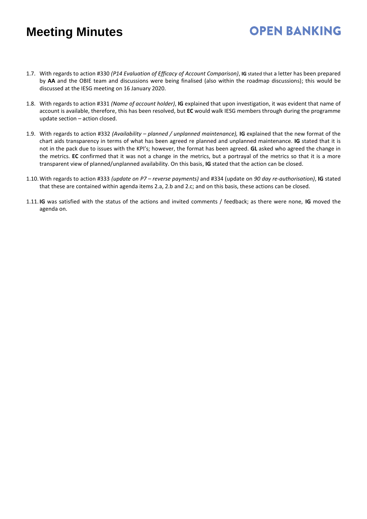1.7. With regards to action #330 *(P14 Evaluation of Efficacy of Account Comparison)*, **IG** stated that a letter has been prepared by **AA** and the OBIE team and discussions were being finalised (also within the roadmap discussions); this would be discussed at the IESG meeting on 16 January 2020.

- 1.8. With regards to action #331 *(Name of account holder)*, **IG** explained that upon investigation, it was evident that name of account is available, therefore, this has been resolved, but **EC** would walk IESG members through during the programme update section – action closed.
- 1.9. With regards to action #332 *(Availability – planned / unplanned maintenance),* **IG** explained that the new format of the chart aids transparency in terms of what has been agreed re planned and unplanned maintenance. **IG** stated that it is not in the pack due to issues with the KPI's; however, the format has been agreed. **GL** asked who agreed the change in the metrics. **EC** confirmed that it was not a change in the metrics, but a portrayal of the metrics so that it is a more transparent view of planned/unplanned availability. On this basis, **IG** stated that the action can be closed.
- 1.10.With regards to action #333 *(update on P7 – reverse payments)* and #334 (update on *90 day re-authorisation)*, **IG** stated that these are contained within agenda items 2.a, 2.b and 2.c; and on this basis, these actions can be closed.
- 1.11. **IG** was satisfied with the status of the actions and invited comments / feedback; as there were none, **IG** moved the agenda on.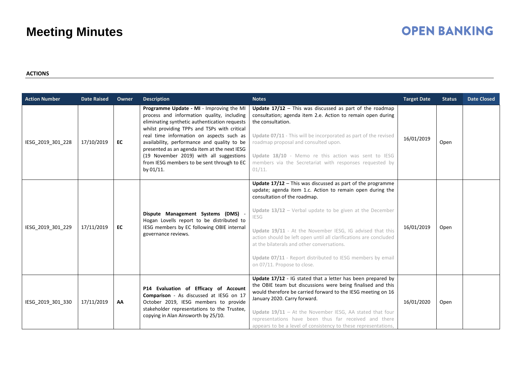### **OPEN BANKING**

#### **ACTIONS**

| <b>Action Number</b> | <b>Date Raised</b> | Owner | <b>Description</b>                                                                                                                                                                                                                                                                                                                                                                                                                       | <b>Notes</b>                                                                                                                                                                                                                                                                                                                                                                                                                                                                                                             | <b>Target Date</b> | <b>Status</b> | <b>Date Closed</b> |
|----------------------|--------------------|-------|------------------------------------------------------------------------------------------------------------------------------------------------------------------------------------------------------------------------------------------------------------------------------------------------------------------------------------------------------------------------------------------------------------------------------------------|--------------------------------------------------------------------------------------------------------------------------------------------------------------------------------------------------------------------------------------------------------------------------------------------------------------------------------------------------------------------------------------------------------------------------------------------------------------------------------------------------------------------------|--------------------|---------------|--------------------|
| IESG_2019_301_228    | 17/10/2019         | EC    | Programme Update - MI - Improving the MI<br>process and information quality, including<br>eliminating synthetic authentication requests<br>whilst providing TPPs and TSPs with critical<br>real time information on aspects such as<br>availability, performance and quality to be<br>presented as an agenda item at the next IESG<br>(19 November 2019) with all suggestions<br>from IESG members to be sent through to EC<br>by 01/11. | Update $17/12$ – This was discussed as part of the roadmap<br>consultation; agenda item 2.e. Action to remain open during<br>the consultation.<br>Update 07/11 - This will be incorporated as part of the revised<br>roadmap proposal and consulted upon.<br>Update 18/10 - Memo re this action was sent to IESG<br>members via the Secretariat with responses requested by<br>01/11.                                                                                                                                    | 16/01/2019         | Open          |                    |
| IESG 2019 301 229    | 17/11/2019         | EC    | Dispute Management Systems (DMS) -<br>Hogan Lovells report to be distributed to<br>IESG members by EC following OBIE internal<br>governance reviews.                                                                                                                                                                                                                                                                                     | Update $17/12$ – This was discussed as part of the programme<br>update; agenda item 1.c. Action to remain open during the<br>consultation of the roadmap.<br><b>Update 13/12</b> – Verbal update to be given at the December<br><b>IESG</b><br>Update 19/11 - At the November IESG, IG advised that this<br>action should be left open until all clarifications are concluded<br>at the bilaterals and other conversations.<br>Update 07/11 - Report distributed to IESG members by email<br>on 07/11. Propose to close. | 16/01/2019         | Open          |                    |
| IESG 2019 301 330    | 17/11/2019         | AA    | P14 Evaluation of Efficacy of Account<br>Comparison - As discussed at IESG on 17<br>October 2019, IESG members to provide<br>stakeholder representations to the Trustee,<br>copying in Alan Ainsworth by 25/10.                                                                                                                                                                                                                          | Update 17/12 - IG stated that a letter has been prepared by<br>the OBIE team but discussions were being finalised and this<br>would therefore be carried forward to the IESG meeting on 16<br>January 2020. Carry forward.<br>Update $19/11$ – At the November IESG, AA stated that four<br>representations have been thus far received and there<br>appears to be a level of consistency to these representations,                                                                                                      | 16/01/2020         | Open          |                    |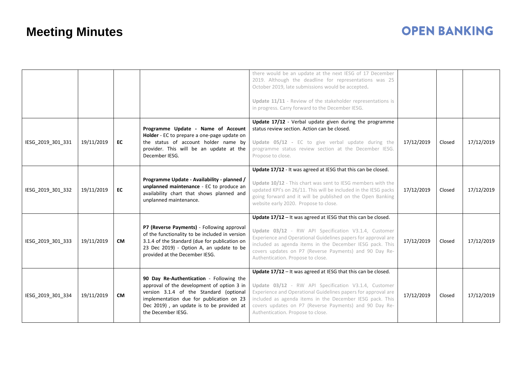|                   |            |           |                                                                                                                                                                                                                                                  | there would be an update at the next IESG of 17 December<br>2019. Although the deadline for representations was 25<br>October 2019, late submissions would be accepted.                                                                                                                                                                             |            |        |            |
|-------------------|------------|-----------|--------------------------------------------------------------------------------------------------------------------------------------------------------------------------------------------------------------------------------------------------|-----------------------------------------------------------------------------------------------------------------------------------------------------------------------------------------------------------------------------------------------------------------------------------------------------------------------------------------------------|------------|--------|------------|
|                   |            |           |                                                                                                                                                                                                                                                  | Update 11/11 - Review of the stakeholder representations is<br>in progress. Carry forward to the December IESG.                                                                                                                                                                                                                                     |            |        |            |
| IESG_2019_301_331 | 19/11/2019 | EC        | Programme Update - Name of Account<br>Holder - EC to prepare a one-page update on<br>the status of account holder name by<br>provider. This will be an update at the<br>December IESG.                                                           | Update 17/12 - Verbal update given during the programme<br>status review section. Action can be closed.<br>Update 05/12 - EC to give verbal update during the<br>programme status review section at the December IESG.<br>Propose to close.                                                                                                         | 17/12/2019 | Closed | 17/12/2019 |
| IESG_2019_301_332 | 19/11/2019 | EC        | Programme Update - Availability - planned /<br>unplanned maintenance - EC to produce an<br>availability chart that shows planned and<br>unplanned maintenance.                                                                                   | Update 17/12 - It was agreed at IESG that this can be closed.<br>Update 10/12 - This chart was sent to IESG members with the<br>updated KPI's on 26/11. This will be included in the IESG packs<br>going forward and it will be published on the Open Banking<br>website early 2020. Propose to close.                                              | 17/12/2019 | Closed | 17/12/2019 |
| IESG 2019 301 333 | 19/11/2019 | <b>CM</b> | P7 (Reverse Payments) - Following approval<br>of the functionality to be included in version<br>3.1.4 of the Standard (due for publication on<br>23 Dec 2019) - Option A, an update to be<br>provided at the December IESG.                      | Update $17/12$ - It was agreed at IESG that this can be closed.<br>Update 03/12 - RW API Specification V3.1.4, Customer<br>Experience and Operational Guidelines papers for approval are<br>included as agenda items in the December IESG pack. This<br>covers updates on P7 (Reverse Payments) and 90 Day Re-<br>Authentication. Propose to close. | 17/12/2019 | Closed | 17/12/2019 |
| IESG_2019_301_334 | 19/11/2019 | <b>CM</b> | 90 Day Re-Authentication - Following the<br>approval of the development of option 3 in<br>version 3.1.4 of the Standard (optional<br>implementation due for publication on 23<br>Dec 2019), an update is to be provided at<br>the December IESG. | Update $17/12$ – It was agreed at IESG that this can be closed.<br>Update 03/12 - RW API Specification V3.1.4, Customer<br>Experience and Operational Guidelines papers for approval are<br>included as agenda items in the December IESG pack. This<br>covers updates on P7 (Reverse Payments) and 90 Day Re-<br>Authentication. Propose to close. | 17/12/2019 | Closed | 17/12/2019 |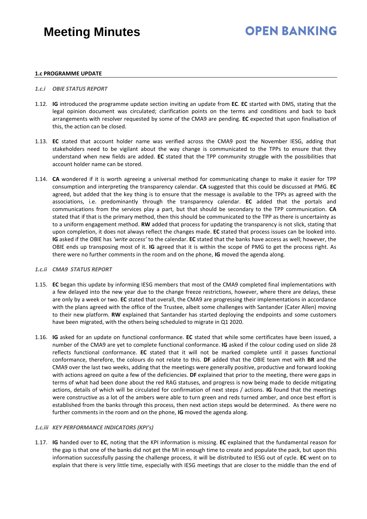### **OPEN BANKING**

#### **1.c PROGRAMME UPDATE**

#### *1.c.i OBIE STATUS REPORT*

- 1.12. **IG** introduced the programme update section inviting an update from **EC**. **EC** started with DMS, stating that the legal opinion document was circulated; clarification points on the terms and conditions and back to back arrangements with resolver requested by some of the CMA9 are pending. **EC** expected that upon finalisation of this, the action can be closed.
- 1.13. **EC** stated that account holder name was verified across the CMA9 post the November IESG, adding that stakeholders need to be vigilant about the way change is communicated to the TPPs to ensure that they understand when new fields are added. **EC** stated that the TPP community struggle with the possibilities that account holder name can be stored.
- 1.14. **CA** wondered if it is worth agreeing a universal method for communicating change to make it easier for TPP consumption and interpreting the transparency calendar. **CA** suggested that this could be discussed at PMG. **EC** agreed, but added that the key thing is to ensure that the message is available to the TPPs as agreed with the associations, i.e. predominantly through the transparency calendar. **EC** added that the portals and communications from the services play a part, but that should be secondary to the TPP communication. **CA** stated that if that is the primary method, then this should be communicated to the TPP as there is uncertainty as to a uniform engagement method. **RW** added that process for updating the transparency is not slick, stating that upon completion, it does not always reflect the changes made. **EC** stated that process issues can be looked into. **IG** asked if the OBIE has *'write access'* to the calendar. **EC** stated that the banks have access as well; however, the OBIE ends up transposing most of it. **IG** agreed that it is within the scope of PMG to get the process right. As there were no further comments in the room and on the phone, **IG** moved the agenda along.

#### *1.c.ii CMA9 STATUS REPORT*

- 1.15. **EC** began this update by informing IESG members that most of the CMA9 completed final implementations with a few delayed into the new year due to the change freeze restrictions, however, where there are delays, these are only by a week or two. **EC** stated that overall, the CMA9 are progressing their implementations in accordance with the plans agreed with the office of the Trustee, albeit some challenges with Santander (Cater Allen) moving to their new platform. **RW** explained that Santander has started deploying the endpoints and some customers have been migrated, with the others being scheduled to migrate in Q1 2020.
- 1.16. **IG** asked for an update on functional conformance. **EC** stated that while some certificates have been issued, a number of the CMA9 are yet to complete functional conformance. **IG** asked if the colour coding used on slide 28 reflects functional conformance. **EC** stated that it will not be marked complete until it passes functional conformance, therefore, the colours do not relate to this. **DF** added that the OBIE team met with **BR** and the CMA9 over the last two weeks, adding that the meetings were generally positive, productive and forward looking with actions agreed on quite a few of the deficiencies. **DF** explained that prior to the meeting, there were gaps in terms of what had been done about the red RAG statuses, and progress is now being made to decide mitigating actions, details of which will be circulated for confirmation of next steps / actions. **IG** found that the meetings were constructive as a lot of the ambers were able to turn green and reds turned amber, and once best effort is established from the banks through this process, then next action steps would be determined. As there were no further comments in the room and on the phone, **IG** moved the agenda along.

#### *1.c.iii KEY PERFORMANCE INDICATORS (KPI's)*

1.17. **IG** handed over to **EC**, noting that the KPI information is missing. **EC** explained that the fundamental reason for the gap is that one of the banks did not get the MI in enough time to create and populate the pack, but upon this information successfully passing the challenge process, it will be distributed to IESG out of cycle. **EC** went on to explain that there is very little time, especially with IESG meetings that are closer to the middle than the end of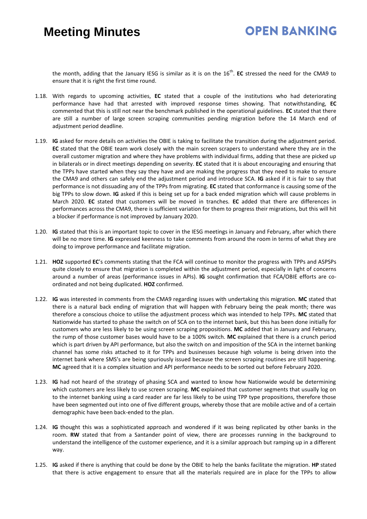#### **OPEN BANKING**

the month, adding that the January IESG is similar as it is on the 16<sup>th</sup>. **EC** stressed the need for the CMA9 to ensure that it is right the first time round.

- 1.18. With regards to upcoming activities, **EC** stated that a couple of the institutions who had deteriorating performance have had that arrested with improved response times showing. That notwithstanding, **EC** commented that this is still not near the benchmark published in the operational guidelines. **EC** stated that there are still a number of large screen scraping communities pending migration before the 14 March end of adiustment period deadline.
- 1.19. **IG** asked for more details on activities the OBIE is taking to facilitate the transition during the adjustment period. **EC** stated that the OBIE team work closely with the main screen scrapers to understand where they are in the overall customer migration and where they have problems with individual firms, adding that these are picked up in bilaterals or in direct meetings depending on severity. **EC** stated that it is about encouraging and ensuring that the TPPs have started when they say they have and are making the progress that they need to make to ensure the CMA9 and others can safely end the adjustment period and introduce SCA. **IG** asked if it is fair to say that performance is not dissuading any of the TPPs from migrating. **EC** stated that conformance is causing some of the big TPPs to slow down. **IG** asked if this is being set up for a back ended migration which will cause problems in March 2020. **EC** stated that customers will be moved in tranches. **EC** added that there are differences in performances across the CMA9, there is sufficient variation for them to progress their migrations, but this will hit a blocker if performance is not improved by January 2020.
- 1.20. **IG** stated that this is an important topic to cover in the IESG meetings in January and February, after which there will be no more time. **IG** expressed keenness to take comments from around the room in terms of what they are doing to improve performance and facilitate migration.
- 1.21. **HOZ** supported **EC**'s comments stating that the FCA will continue to monitor the progress with TPPs and ASPSPs quite closely to ensure that migration is completed within the adjustment period, especially in light of concerns around a number of areas (performance issues in APIs). **IG** sought confirmation that FCA/OBIE efforts are coordinated and not being duplicated. **HOZ** confirmed.
- 1.22. **IG** was interested in comments from the CMA9 regarding issues with undertaking this migration. **MC** stated that there is a natural back ending of migration that will happen with February being the peak month; there was therefore a conscious choice to utilise the adjustment process which was intended to help TPPs. **MC** stated that Nationwide has started to phase the switch on of SCA on to the internet bank, but this has been done initially for customers who are less likely to be using screen scraping propositions. **MC** added that in January and February, the rump of those customer bases would have to be a 100% switch. **MC** explained that there is a crunch period which is part driven by API performance, but also the switch on and imposition of the SCA in the internet banking channel has some risks attached to it for TPPs and businesses because high volume is being driven into the internet bank where SMS's are being spuriously issued because the screen scraping routines are still happening. **MC** agreed that it is a complex situation and API performance needs to be sorted out before February 2020.
- 1.23. **IG** had not heard of the strategy of phasing SCA and wanted to know how Nationwide would be determining which customers are less likely to use screen scraping. **MC** explained that customer segments that usually log on to the internet banking using a card reader are far less likely to be using TPP type propositions, therefore those have been segmented out into one of five different groups, whereby those that are mobile active and of a certain demographic have been back-ended to the plan.
- 1.24. **IG** thought this was a sophisticated approach and wondered if it was being replicated by other banks in the room. **RW** stated that from a Santander point of view, there are processes running in the background to understand the intelligence of the customer experience, and it is a similar approach but ramping up in a different way.
- 1.25. **IG** asked if there is anything that could be done by the OBIE to help the banks facilitate the migration. **HP** stated that there is active engagement to ensure that all the materials required are in place for the TPPs to allow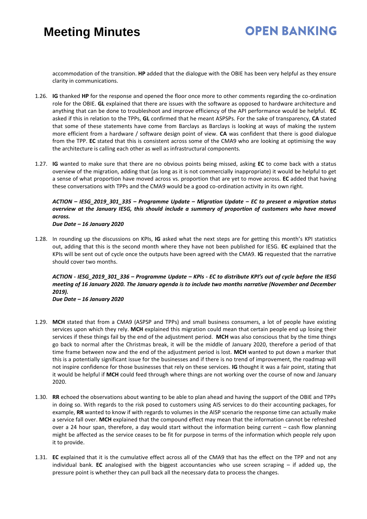## **OPEN BANKING**

accommodation of the transition. **HP** added that the dialogue with the OBIE has been very helpful as they ensure clarity in communications.

- 1.26. **IG** thanked **HP** for the response and opened the floor once more to other comments regarding the co-ordination role for the OBIE. **GL** explained that there are issues with the software as opposed to hardware architecture and anything that can be done to troubleshoot and improve efficiency of the API performance would be helpful. **EC** asked if this in relation to the TPPs, **GL** confirmed that he meant ASPSPs. For the sake of transparency, **CA** stated that some of these statements have come from Barclays as Barclays is looking at ways of making the system more efficient from a hardware / software design point of view. **CA** was confident that there is good dialogue from the TPP. **EC** stated that this is consistent across some of the CMA9 who are looking at optimising the way the architecture is calling each other as well as infrastructural components.
- 1.27. **IG** wanted to make sure that there are no obvious points being missed, asking **EC** to come back with a status overview of the migration, adding that (as long as it is not commercially inappropriate) it would be helpful to get a sense of what proportion have moved across vs. proportion that are yet to move across. **EC** added that having these conversations with TPPs and the CMA9 would be a good co-ordination activity in its own right.

#### *ACTION – IESG\_2019\_301\_335 – Programme Update – Migration Update – EC to present a migration status overview at the January IESG, this should include a summary of proportion of customers who have moved across. Due Date – 16 January 2020*

1.28. In rounding up the discussions on KPIs, **IG** asked what the next steps are for getting this month's KPI statistics out, adding that this is the second month where they have not been published for IESG. **EC** explained that the KPIs will be sent out of cycle once the outputs have been agreed with the CMA9. **IG** requested that the narrative should cover two months.

#### *ACTION - IESG\_2019\_301\_336 – Programme Update – KPIs - EC to distribute KPI's out of cycle before the IESG meeting of 16 January 2020. The January agenda is to include two months narrative (November and December 2019).*

*Due Date – 16 January 2020* 

- 1.29. **MCH** stated that from a CMA9 (ASPSP and TPPs) and small business consumers, a lot of people have existing services upon which they rely. **MCH** explained this migration could mean that certain people end up losing their services if these things fail by the end of the adjustment period. **MCH** was also conscious that by the time things go back to normal after the Christmas break, it will be the middle of January 2020, therefore a period of that time frame between now and the end of the adjustment period is lost. **MCH** wanted to put down a marker that this is a potentially significant issue for the businesses and if there is no trend of improvement, the roadmap will not inspire confidence for those businesses that rely on these services. **IG** thought it was a fair point, stating that it would be helpful if **MCH** could feed through where things are not working over the course of now and January 2020.
- 1.30. **RR** echoed the observations about wanting to be able to plan ahead and having the support of the OBIE and TPPs in doing so. With regards to the risk posed to customers using AIS services to do their accounting packages, for example, **RR** wanted to know if with regards to volumes in the AISP scenario the response time can actually make a service fall over. **MCH** explained that the compound effect may mean that the information cannot be refreshed over a 24 hour span, therefore, a day would start without the information being current – cash flow planning might be affected as the service ceases to be fit for purpose in terms of the information which people rely upon it to provide.
- 1.31. **EC** explained that it is the cumulative effect across all of the CMA9 that has the effect on the TPP and not any individual bank. **EC** analogised with the biggest accountancies who use screen scraping – if added up, the pressure point is whether they can pull back all the necessary data to process the changes.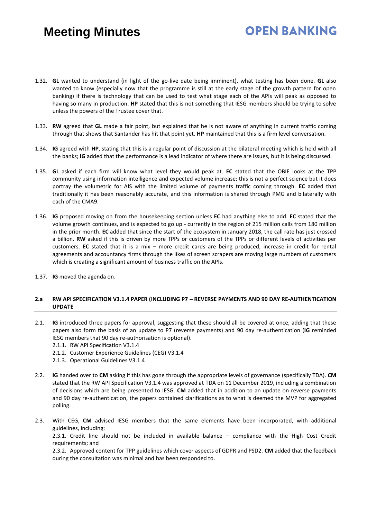# **OPEN BANKING**

- 1.32. **GL** wanted to understand (in light of the go-live date being imminent), what testing has been done. **GL** also wanted to know (especially now that the programme is still at the early stage of the growth pattern for open banking) if there is technology that can be used to test what stage each of the APIs will peak as opposed to having so many in production. **HP** stated that this is not something that IESG members should be trying to solve unless the powers of the Trustee cover that.
- 1.33. **RW** agreed that **GL** made a fair point, but explained that he is not aware of anything in current traffic coming through that shows that Santander has hit that point yet. **HP** maintained that this is a firm level conversation.
- 1.34. **IG** agreed with **HP**, stating that this is a regular point of discussion at the bilateral meeting which is held with all the banks; **IG** added that the performance is a lead indicator of where there are issues, but it is being discussed.
- 1.35. **GL** asked if each firm will know what level they would peak at. **EC** stated that the OBIE looks at the TPP community using information intelligence and expected volume increase; this is not a perfect science but it does portray the volumetric for AIS with the limited volume of payments traffic coming through. **EC** added that traditionally it has been reasonably accurate, and this information is shared through PMG and bilaterally with each of the CMA9.
- 1.36. **IG** proposed moving on from the housekeeping section unless **EC** had anything else to add. **EC** stated that the volume growth continues, and is expected to go up - currently in the region of 215 million calls from 180 million in the prior month. **EC** added that since the start of the ecosystem in January 2018, the call rate has just crossed a billion. **RW** asked if this is driven by more TPPs or customers of the TPPs or different levels of activities per customers. **EC** stated that it is a mix – more credit cards are being produced, increase in credit for rental agreements and accountancy firms through the likes of screen scrapers are moving large numbers of customers which is creating a significant amount of business traffic on the APIs.
- 1.37. **IG** moved the agenda on.

#### **2.a RW API SPECIFICATION V3.1.4 PAPER (INCLUDING P7 – REVERSE PAYMENTS AND 90 DAY RE-AUTHENTICATION UPDATE**

- 2.1. **IG** introduced three papers for approval, suggesting that these should all be covered at once, adding that these papers also form the basis of an update to P7 (reverse payments) and 90 day re-authentication (**IG** reminded IESG members that 90 day re-authorisation is optional).
	- 2.1.1. RW API Specification V3.1.4
	- 2.1.2. Customer Experience Guidelines (CEG) V3.1.4
	- 2.1.3. Operational Guidelines V3.1.4
- 2.2. **IG** handed over to **CM** asking if this has gone through the appropriate levels of governance (specifically TDA). **CM** stated that the RW API Specification V3.1.4 was approved at TDA on 11 December 2019, including a combination of decisions which are being presented to IESG. **CM** added that in addition to an update on reverse payments and 90 day re-authentication, the papers contained clarifications as to what is deemed the MVP for aggregated polling.
- 2.3. With CEG, **CM** advised IESG members that the same elements have been incorporated, with additional guidelines, including:

2.3.1. Credit line should not be included in available balance – compliance with the High Cost Credit requirements; and

2.3.2. Approved content for TPP guidelines which cover aspects of GDPR and PSD2. **CM** added that the feedback during the consultation was minimal and has been responded to.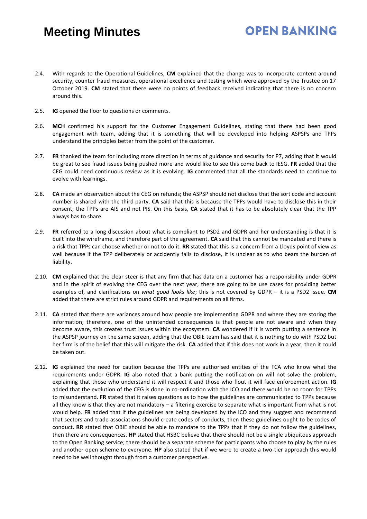- 2.4. With regards to the Operational Guidelines, **CM** explained that the change was to incorporate content around security, counter fraud measures, operational excellence and testing which were approved by the Trustee on 17 October 2019. **CM** stated that there were no points of feedback received indicating that there is no concern around this.
- 2.5. **IG** opened the floor to questions or comments.
- 2.6. **MCH** confirmed his support for the Customer Engagement Guidelines, stating that there had been good engagement with team, adding that it is something that will be developed into helping ASPSPs and TPPs understand the principles better from the point of the customer.
- 2.7. **FR** thanked the team for including more direction in terms of guidance and security for P7, adding that it would be great to see fraud issues being pushed more and would like to see this come back to IESG. **FR** added that the CEG could need continuous review as it is evolving. **IG** commented that all the standards need to continue to evolve with learnings.
- 2.8. **CA** made an observation about the CEG on refunds; the ASPSP should not disclose that the sort code and account number is shared with the third party. **CA** said that this is because the TPPs would have to disclose this in their consent; the TPPs are AIS and not PIS. On this basis, **CA** stated that it has to be absolutely clear that the TPP always has to share.
- 2.9. **FR** referred to a long discussion about what is compliant to PSD2 and GDPR and her understanding is that it is built into the wireframe, and therefore part of the agreement. **CA** said that this cannot be mandated and there is a risk that TPPs can choose whether or not to do it. **RR** stated that this is a concern from a Lloyds point of view as well because if the TPP deliberately or accidently fails to disclose, it is unclear as to who bears the burden of liability.
- 2.10. **CM** explained that the clear steer is that any firm that has data on a customer has a responsibility under GDPR and in the spirit of evolving the CEG over the next year, there are going to be use cases for providing better examples of, and clarifications on *what good looks like*; this is not covered by GDPR – it is a PSD2 issue. **CM** added that there are strict rules around GDPR and requirements on all firms.
- 2.11. **CA** stated that there are variances around how people are implementing GDPR and where they are storing the information; therefore, one of the unintended consequences is that people are not aware and when they become aware, this creates trust issues within the ecosystem. **CA** wondered if it is worth putting a sentence in the ASPSP journey on the same screen, adding that the OBIE team has said that it is nothing to do with PSD2 but her firm is of the belief that this will mitigate the risk. **CA** added that if this does not work in a year, then it could be taken out.
- 2.12. **IG** explained the need for caution because the TPPs are authorised entities of the FCA who know what the requirements under GDPR. **IG** also noted that a bank putting the notification on will not solve the problem, explaining that those who understand it will respect it and those who flout it will face enforcement action. **IG** added that the evolution of the CEG is done in co-ordination with the ICO and there would be no room for TPPs to misunderstand. **FR** stated that it raises questions as to how the guidelines are communicated to TPPs because all they know is that they are not mandatory – a filtering exercise to separate what is important from what is not would help. **FR** added that if the guidelines are being developed by the ICO and they suggest and recommend that sectors and trade associations should create codes of conducts, then these guidelines ought to be codes of conduct. **RR** stated that OBIE should be able to mandate to the TPPs that if they do not follow the guidelines, then there are consequences. **HP** stated that HSBC believe that there should not be a single ubiquitous approach to the Open Banking service; there should be a separate scheme for participants who choose to play by the rules and another open scheme to everyone. **HP** also stated that if we were to create a two-tier approach this would need to be well thought through from a customer perspective.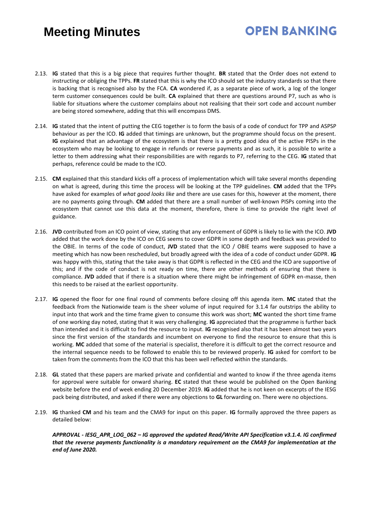# **OPEN BANKING**

- 2.13. **IG** stated that this is a big piece that requires further thought. **BR** stated that the Order does not extend to instructing or obliging the TPPs. **FR** stated that this is why the ICO should set the industry standards so that there is backing that is recognised also by the FCA. **CA** wondered if, as a separate piece of work, a log of the longer term customer consequences could be built. **CA** explained that there are questions around P7, such as who is liable for situations where the customer complains about not realising that their sort code and account number are being stored somewhere, adding that this will encompass DMS.
- 2.14. **IG** stated that the intent of putting the CEG together is to form the basis of a code of conduct for TPP and ASPSP behaviour as per the ICO. **IG** added that timings are unknown, but the programme should focus on the present. **IG** explained that an advantage of the ecosystem is that there is a pretty good idea of the active PISPs in the ecosystem who may be looking to engage in refunds or reverse payments and as such, it is possible to write a letter to them addressing what their responsibilities are with regards to P7, referring to the CEG. **IG** stated that perhaps, reference could be made to the ICO.
- 2.15. **CM** explained that this standard kicks off a process of implementation which will take several months depending on what is agreed, during this time the process will be looking at the TPP guidelines. **CM** added that the TPPs have asked for examples of *what good looks like* and there are use cases for this, however at the moment, there are no payments going through. **CM** added that there are a small number of well-known PISPs coming into the ecosystem that cannot use this data at the moment, therefore, there is time to provide the right level of guidance.
- 2.16. **JVD** contributed from an ICO point of view, stating that any enforcement of GDPR is likely to lie with the ICO. **JVD** added that the work done by the ICO on CEG seems to cover GDPR in some depth and feedback was provided to the OBIE. In terms of the code of conduct, **JVD** stated that the ICO / OBIE teams were supposed to have a meeting which has now been rescheduled, but broadly agreed with the idea of a code of conduct under GDPR. **IG** was happy with this, stating that the take away is that GDPR is reflected in the CEG and the ICO are supportive of this; and if the code of conduct is not ready on time, there are other methods of ensuring that there is compliance. **JVD** added that if there is a situation where there might be infringement of GDPR en-masse, then this needs to be raised at the earliest opportunity.
- 2.17. **IG** opened the floor for one final round of comments before closing off this agenda item. **MC** stated that the feedback from the Nationwide team is the sheer volume of input required for 3.1.4 far outstrips the ability to input into that work and the time frame given to consume this work was short; **MC** wanted the short time frame of one working day noted, stating that it was very challenging. **IG** appreciated that the programme is further back than intended and it is difficult to find the resource to input. **IG** recognised also that it has been almost two years since the first version of the standards and incumbent on everyone to find the resource to ensure that this is working. **MC** added that some of the material is specialist, therefore it is difficult to get the correct resource and the internal sequence needs to be followed to enable this to be reviewed properly. **IG** asked for comfort to be taken from the comments from the ICO that this has been well reflected within the standards.
- 2.18. **GL** stated that these papers are marked private and confidential and wanted to know if the three agenda items for approval were suitable for onward sharing. **EC** stated that these would be published on the Open Banking website before the end of week ending 20 December 2019. **IG** added that he is not keen on excerpts of the IESG pack being distributed, and asked if there were any objections to **GL** forwarding on. There were no objections.
- 2.19. **IG** thanked **CM** and his team and the CMA9 for input on this paper. **IG** formally approved the three papers as detailed below:

*APPROVAL - IESG\_APR\_LOG\_062 – IG approved the updated Read/Write API Specification v3.1.4. IG confirmed that the reverse payments functionality is a mandatory requirement on the CMA9 for implementation at the end of June 2020.*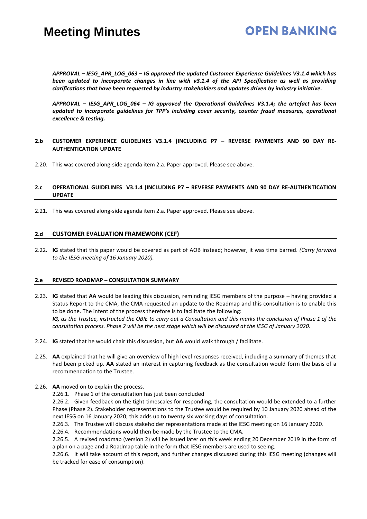#### **OPEN BANKING**

*APPROVAL – IESG\_APR\_LOG\_063 – IG approved the updated Customer Experience Guidelines V3.1.4 which has been updated to incorporate changes in line with v3.1.4 of the API Specification as well as providing clarifications that have been requested by industry stakeholders and updates driven by industry initiative.* 

*APPROVAL – IESG\_APR\_LOG\_064 – IG approved the Operational Guidelines V3.1.4; the artefact has been updated to incorporate guidelines for TPP's including cover security, counter fraud measures, operational excellence & testing.*

#### **2.b CUSTOMER EXPERIENCE GUIDELINES V3.1.4 (INCLUDING P7 – REVERSE PAYMENTS AND 90 DAY RE-AUTHENTICATION UPDATE**

2.20. This was covered along-side agenda item 2.a. Paper approved. Please see above.

#### **2.c OPERATIONAL GUIDELINES V3.1.4 (INCLUDING P7 – REVERSE PAYMENTS AND 90 DAY RE-AUTHENTICATION UPDATE**

2.21. This was covered along-side agenda item 2.a. Paper approved. Please see above.

#### **2.d CUSTOMER EVALUATION FRAMEWORK (CEF)**

2.22. **IG** stated that this paper would be covered as part of AOB instead; however, it was time barred. *(Carry forward to the IESG meeting of 16 January 2020).*

#### **2.e REVISED ROADMAP – CONSULTATION SUMMARY**

- 2.23. **IG** stated that **AA** would be leading this discussion, reminding IESG members of the purpose having provided a Status Report to the CMA, the CMA requested an update to the Roadmap and this consultation is to enable this to be done. The intent of the process therefore is to facilitate the following: *IG, as the Trustee, instructed the OBIE to carry out a Consultation and this marks the conclusion of Phase 1 of the consultation process. Phase 2 will be the next stage which will be discussed at the IESG of January 2020*.
- 2.24. **IG** stated that he would chair this discussion, but **AA** would walk through / facilitate.
- 2.25. **AA** explained that he will give an overview of high level responses received, including a summary of themes that had been picked up. **AA** stated an interest in capturing feedback as the consultation would form the basis of a recommendation to the Trustee.
- 2.26. **AA** moved on to explain the process.
	- 2.26.1. Phase 1 of the consultation has just been concluded

2.26.2. Given feedback on the tight timescales for responding, the consultation would be extended to a further Phase (Phase 2). Stakeholder representations to the Trustee would be required by 10 January 2020 ahead of the next IESG on 16 January 2020; this adds up to twenty six working days of consultation.

2.26.3. The Trustee will discuss stakeholder representations made at the IESG meeting on 16 January 2020.

2.26.4. Recommendations would then be made by the Trustee to the CMA.

2.26.5. A revised roadmap (version 2) will be issued later on this week ending 20 December 2019 in the form of a plan on a page and a Roadmap table in the form that IESG members are used to seeing.

2.26.6. It will take account of this report, and further changes discussed during this IESG meeting (changes will be tracked for ease of consumption).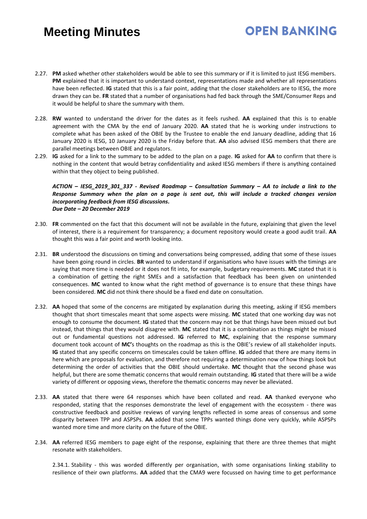2.27. **PM** asked whether other stakeholders would be able to see this summary or if it is limited to just IESG members. **PM** explained that it is important to understand context, representations made and whether all representations have been reflected. **IG** stated that this is a fair point, adding that the closer stakeholders are to IESG, the more drawn they can be. **FR** stated that a number of organisations had fed back through the SME/Consumer Reps and it would be helpful to share the summary with them.

**OPEN BANKING** 

- 2.28. **RW** wanted to understand the driver for the dates as it feels rushed. **AA** explained that this is to enable agreement with the CMA by the end of January 2020. **AA** stated that he is working under instructions to complete what has been asked of the OBIE by the Trustee to enable the end January deadline, adding that 16 January 2020 is IESG, 10 January 2020 is the Friday before that. **AA** also advised IESG members that there are parallel meetings between OBIE and regulators.
- 2.29. **IG** asked for a link to the summary to be added to the plan on a page. **IG** asked for **AA** to confirm that there is nothing in the content that would betray confidentiality and asked IESG members if there is anything contained within that they object to being published.

#### *ACTION – IESG\_2019\_301\_337 - Revised Roadmap – Consultation Summary – AA to include a link to the Response Summary when the plan on a page is sent out, this will include a tracked changes version incorporating feedback from IESG discussions. Due Date – 20 December 2019*

- 2.30. **FR** commented on the fact that this document will not be available in the future, explaining that given the level of interest, there is a requirement for transparency; a document repository would create a good audit trail. **AA** thought this was a fair point and worth looking into.
- 2.31. **BR** understood the discussions on timing and conversations being compressed, adding that some of these issues have been going round in circles. **BR** wanted to understand if organisations who have issues with the timings are saying that more time is needed or it does not fit into, for example, budgetary requirements. **MC** stated that it is a combination of getting the right SMEs and a satisfaction that feedback has been given on unintended consequences. **MC** wanted to know what the right method of governance is to ensure that these things have been considered. **MC** did not think there should be a fixed end date on consultation.
- 2.32. **AA** hoped that some of the concerns are mitigated by explanation during this meeting, asking if IESG members thought that short timescales meant that some aspects were missing. **MC** stated that one working day was not enough to consume the document. **IG** stated that the concern may not be that things have been missed out but instead, that things that they would disagree with. **MC** stated that it is a combination as things might be missed out or fundamental questions not addressed. **IG** referred to **MC**, explaining that the response summary document took account of **MC'**s thoughts on the roadmap as this is the OBIE's review of all stakeholder inputs. **IG** stated that any specific concerns on timescales could be taken offline. **IG** added that there are many items in here which are proposals for evaluation, and therefore not requiring a determination now of how things look but determining the order of activities that the OBIE should undertake. **MC** thought that the second phase was helpful, but there are some thematic concerns that would remain outstanding. **IG** stated that there will be a wide variety of different or opposing views, therefore the thematic concerns may never be alleviated.
- 2.33. **AA** stated that there were 64 responses which have been collated and read. **AA** thanked everyone who responded, stating that the responses demonstrate the level of engagement with the ecosystem - there was constructive feedback and positive reviews of varying lengths reflected in some areas of consensus and some disparity between TPP and ASPSPs. **AA** added that some TPPs wanted things done very quickly, while ASPSPs wanted more time and more clarity on the future of the OBIE.
- 2.34. **AA** referred IESG members to page eight of the response, explaining that there are three themes that might resonate with stakeholders.

2.34.1. Stability - this was worded differently per organisation, with some organisations linking stability to resilience of their own platforms. **AA** added that the CMA9 were focussed on having time to get performance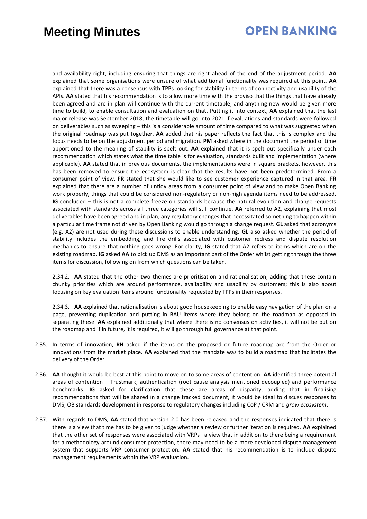## **OPEN BANKING**

and availability right, including ensuring that things are right ahead of the end of the adjustment period. **AA** explained that some organisations were unsure of what additional functionality was required at this point. **AA** explained that there was a consensus with TPPs looking for stability in terms of connectivity and usability of the APIs. **AA** stated that his recommendation is to allow more time with the proviso that the things that have already been agreed and are in plan will continue with the current timetable, and anything new would be given more time to build, to enable consultation and evaluation on that. Putting it into context, **AA** explained that the last major release was September 2018, the timetable will go into 2021 if evaluations and standards were followed on deliverables such as sweeping – this is a considerable amount of time compared to what was suggested when the original roadmap was put together. **AA** added that his paper reflects the fact that this is complex and the focus needs to be on the adjustment period and migration. **PM** asked where in the document the period of time apportioned to the meaning of stability is spelt out. **AA** explained that it is spelt out specifically under each recommendation which states what the time table is for evaluation, standards built and implementation (where applicable). **AA** stated that in previous documents, the implementations were in square brackets, however, this has been removed to ensure the ecosystem is clear that the results have not been predetermined. From a consumer point of view, **FR** stated that she would like to see customer experience captured in that area. **FR** explained that there are a number of untidy areas from a consumer point of view and to make Open Banking work properly, things that could be considered non-regulatory or non-high agenda items need to be addressed. **IG** concluded – this is not a complete freeze on standards because the natural evolution and change requests associated with standards across all three categories will still continue. **AA** referred to A2, explaining that most deliverables have been agreed and in plan, any regulatory changes that necessitated something to happen within a particular time frame not driven by Open Banking would go through a change request. **GL** asked that acronyms (e.g. A2) are not used during these discussions to enable understanding. **GL** also asked whether the period of stability includes the embedding, and fire drills associated with customer redress and dispute resolution mechanics to ensure that nothing goes wrong. For clarity, **IG** stated that A2 refers to items which are on the existing roadmap. **IG** asked **AA** to pick up DMS as an important part of the Order whilst getting through the three items for discussion, following on from which questions can be taken.

2.34.2. **AA** stated that the other two themes are prioritisation and rationalisation, adding that these contain chunky priorities which are around performance, availability and usability by customers; this is also about focusing on key evaluation items around functionality requested by TPPs in their responses.

2.34.3. **AA** explained that rationalisation is about good housekeeping to enable easy navigation of the plan on a page, preventing duplication and putting in BAU items where they belong on the roadmap as opposed to separating these. **AA** explained additionally that where there is no consensus on activities, it will not be put on the roadmap and if in future, it is required, it will go through full governance at that point.

- 2.35. In terms of innovation, **RH** asked if the items on the proposed or future roadmap are from the Order or innovations from the market place. **AA** explained that the mandate was to build a roadmap that facilitates the delivery of the Order.
- 2.36. **AA** thought it would be best at this point to move on to some areas of contention. **AA** identified three potential areas of contention – Trustmark, authentication (root cause analysis mentioned decoupled) and performance benchmarks. **IG** asked for clarification that these are areas of disparity, adding that in finalising recommendations that will be shared in a change tracked document, it would be ideal to discuss responses to DMS, OB standards development in response to regulatory changes including CoP / CRM and *grow ecosystem*.
- 2.37. With regards to DMS, **AA** stated that version 2.0 has been released and the responses indicated that there is there is a view that time has to be given to judge whether a review or further iteration is required. **AA** explained that the other set of responses were associated with VRPs– a view that in addition to there being a requirement for a methodology around consumer protection, there may need to be a more developed dispute management system that supports VRP consumer protection. **AA** stated that his recommendation is to include dispute management requirements within the VRP evaluation.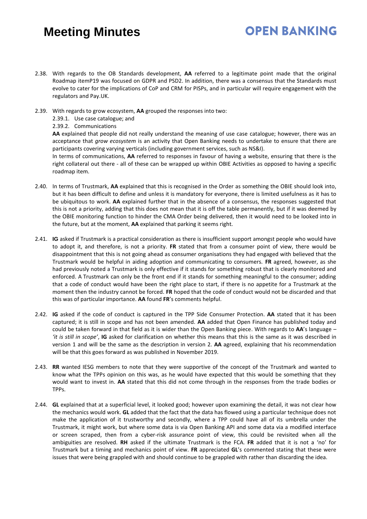# **OPEN BANKING**

- 2.38. With regards to the OB Standards development, **AA** referred to a legitimate point made that the original Roadmap itemP19 was focused on GDPR and PSD2. In addition, there was a consensus that the Standards must evolve to cater for the implications of CoP and CRM for PISPs, and in particular will require engagement with the regulators and Pay.UK.
- 2.39. With regards to grow ecosystem, **AA** grouped the responses into two:

2.39.1. Use case catalogue; and

2.39.2. Communications

**AA** explained that people did not really understand the meaning of use case catalogue; however, there was an acceptance that *grow ecosystem* is an activity that Open Banking needs to undertake to ensure that there are participants covering varying verticals (including government services, such as NS&I).

In terms of communications, **AA** referred to responses in favour of having a website, ensuring that there is the right collateral out there - all of these can be wrapped up within OBIE Activities as opposed to having a specific roadmap item.

- 2.40. In terms of Trustmark, **AA** explained that this is recognised in the Order as something the OBIE should look into, but it has been difficult to define and unless it is mandatory for everyone, there is limited usefulness as it has to be ubiquitous to work. **AA** explained further that in the absence of a consensus, the responses suggested that this is not a priority, adding that this does not mean that it is off the table permanently, but if it was deemed by the OBIE monitoring function to hinder the CMA Order being delivered, then it would need to be looked into in the future, but at the moment, **AA** explained that parking it seems right.
- 2.41. **IG** asked if Trustmark is a practical consideration as there is insufficient support amongst people who would have to adopt it, and therefore, is not a priority. **FR** stated that from a consumer point of view, there would be disappointment that this is not going ahead as consumer organisations they had engaged with believed that the Trustmark would be helpful in aiding adoption and communicating to consumers. **FR** agreed, however, as she had previously noted a Trustmark is only effective if it stands for something robust that is clearly monitored and enforced. A Trustmark can only be the front end if it stands for something meaningful to the consumer; adding that a code of conduct would have been the right place to start, if there is no appetite for a Trustmark at the moment then the industry cannot be forced. **FR** hoped that the code of conduct would not be discarded and that this was of particular importance. **AA** found **FR**'s comments helpful.
- 2.42. **IG** asked if the code of conduct is captured in the TPP Side Consumer Protection. **AA** stated that it has been captured; it is still in scope and has not been amended. **AA** added that Open Finance has published today and could be taken forward in that field as it is wider than the Open Banking piece. With regards to **AA**'s language – *'it is still in scope'*, **IG** asked for clarification on whether this means that this is the same as it was described in version 1 and will be the same as the description in version 2. **AA** agreed, explaining that his recommendation will be that this goes forward as was published in November 2019.
- 2.43. **RR** wanted IESG members to note that they were supportive of the concept of the Trustmark and wanted to know what the TPPs opinion on this was, as he would have expected that this would be something that they would want to invest in. **AA** stated that this did not come through in the responses from the trade bodies or TPPs.
- 2.44. **GL** explained that at a superficial level, it looked good; however upon examining the detail, it was not clear how the mechanics would work. **GL** added that the fact that the data has flowed using a particular technique does not make the application of it trustworthy and secondly, where a TPP could have all of its umbrella under the Trustmark, it might work, but where some data is via Open Banking API and some data via a modified interface or screen scraped, then from a cyber-risk assurance point of view, this could be revisited when all the ambiguities are resolved. **RH** asked if the ultimate Trustmark is the FCA. **FR** added that it is not a 'no' for Trustmark but a timing and mechanics point of view. **FR** appreciated **GL**'s commented stating that these were issues that were being grappled with and should continue to be grappled with rather than discarding the idea.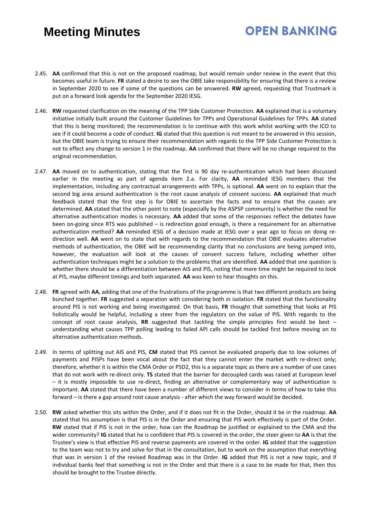- 2.45. **AA** confirmed that this is not on the proposed roadmap, but would remain under review in the event that this becomes useful in future. **FR** stated a desire to see the OBIE take responsibility for ensuring that there is a review in September 2020 to see if some of the questions can be answered. **RW** agreed, requesting that Trustmark is put on a forward look agenda for the September 2020 IESG.
- 2.46. **RW** requested clarification on the meaning of the TPP Side Customer Protection. **AA** explained that is a voluntary initiative initially built around the Customer Guidelines for TPPs and Operational Guidelines for TPPs. **AA** stated that this is being monitored; the recommendation is to continue with this work whilst working with the ICO to see if it could become a code of conduct. **IG** stated that this question is not meant to be answered in this session, but the OBIE team is trying to ensure their recommendation with regards to the TPP Side Customer Protection is not to effect any change to version 1 in the roadmap. **AA** confirmed that there will be no change required to the original recommendation.
- 2.47. **AA** moved on to authentication, stating that the first is 90 day re-authentication which had been discussed earlier in the meeting as part of agenda item 2.a. For clarity, **AA** reminded IESG members that the implementation, including any contractual arrangements with TPPs, is optional. **AA** went on to explain that the second big area around authentication is the root cause analysis of consent success. **AA** explained that much feedback stated that the first step is for OBIE to ascertain the facts and to ensure that the causes are determined. **AA** stated that the other point to note (especially by the ASPSP community) is whether the need for alternative authentication modes is necessary. **AA** added that some of the responses reflect the debates have been on-going since RTS was published – is redirection good enough, is there a requirement for an alternative authentication method? **AA** reminded IESG of a decision made at IESG over a year ago to focus on doing redirection well. **AA** went on to state that with regards to the recommendation that OBIE evaluates alternative methods of authentication, the OBIE will be recommending clarity that no conclusions are being jumped into, however, the evaluation will look at the causes of consent success failure, including whether other authentication techniques might be a solution to the problems that are identified. **AA** added that one question is whether there should be a differentiation between AIS and PIS, noting that more time might be required to look at PIS, maybe different timings and both separated. **AA** was keen to hear thoughts on this.
- 2.48. **FR** agreed with **AA**, adding that one of the frustrations of the programme is that two different products are being bunched together. **FR** suggested a separation with considering both in isolation. **FR** stated that the functionality around PIS is not working and being investigated. On that basis, **FR** thought that something that looks at PIS holistically would be helpful, including a steer from the regulators on the value of PIS. With regards to the concept of root cause analysis, **RR** suggested that tackling the simple principles first would be best – understanding what causes TPP polling leading to failed API calls should be tackled first before moving on to alternative authentication methods.
- 2.49. In terms of splitting out AIS and PIS, **CM** stated that PIS cannot be evaluated properly due to low volumes of payments and PISPs have been vocal about the fact that they cannot enter the market with re-direct only; therefore, whether it is within the CMA Order or PSD2, this is a separate topic as there are a number of use cases that do not work with re-direct only. **TS** stated that the barrier for decoupled cards was raised at European level – it is mostly impossible to use re-direct, finding an alternative or complementary way of authentication is important. **AA** stated that there have been a number of different views to consider in terms of how to take this forward – is there a gap around root cause analysis - after which the way forward would be decided.
- 2.50. **RW** asked whether this sits within the Order, and if it does not fit in the Order, should it be in the roadmap. **AA** stated that his assumption is that PIS is in the Order and ensuring that PIS work effectively is part of the Order. **RW** stated that if PIS is not in the order, how can the Roadmap be justified or explained to the CMA and the wider community? **IG** stated that he is confident that PIS is covered in the order, the steer given to **AA** is that the Trustee's view is that effective PIS and reverse payments are covered in the order. **IG** added that the suggestion to the team was not to try and solve for that in the consultation, but to work on the assumption that everything that was in version 1 of the revised Roadmap was in the Order. **IG** added that PIS is not a new topic, and if individual banks feel that something is not in the Order and that there is a case to be made for that, then this should be brought to the Trustee directly.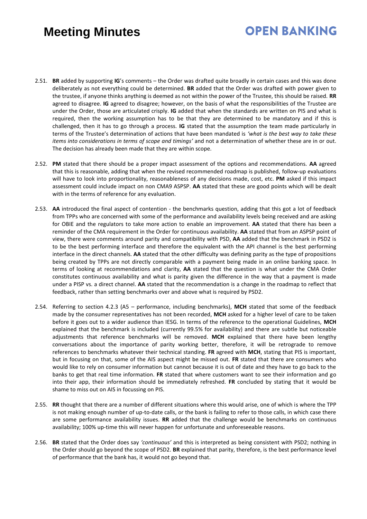- 2.51. **BR** added by supporting **IG**'s comments the Order was drafted quite broadly in certain cases and this was done deliberately as not everything could be determined. **BR** added that the Order was drafted with power given to the trustee, if anyone thinks anything is deemed as not within the power of the Trustee, this should be raised. **RR** agreed to disagree. **IG** agreed to disagree; however, on the basis of what the responsibilities of the Trustee are under the Order, those are articulated crisply. **IG** added that when the standards are written on PIS and what is required, then the working assumption has to be that they are determined to be mandatory and if this is challenged, then it has to go through a process. **IG** stated that the assumption the team made particularly in terms of the Trustee's determination of actions that have been mandated is *'what is the best way to take these items into considerations in terms of scope and timings'* and not a determination of whether these are in or out. The decision has already been made that they are within scope.
- 2.52. **PM** stated that there should be a proper impact assessment of the options and recommendations. **AA** agreed that this is reasonable, adding that when the revised recommended roadmap is published, follow-up evaluations will have to look into proportionality, reasonableness of any decisions made, cost, etc. **PM** asked if this impact assessment could include impact on non CMA9 ASPSP. **AA** stated that these are good points which will be dealt with in the terms of reference for any evaluation.
- 2.53. **AA** introduced the final aspect of contention the benchmarks question, adding that this got a lot of feedback from TPPs who are concerned with some of the performance and availability levels being received and are asking for OBIE and the regulators to take more action to enable an improvement. **AA** stated that there has been a reminder of the CMA requirement in the Order for continuous availability. **AA** stated that from an ASPSP point of view, there were comments around parity and compatibility with PSD, **AA** added that the benchmark in PSD2 is to be the best performing interface and therefore the equivalent with the API channel is the best performing interface in the direct channels. **AA** stated that the other difficulty was defining parity as the type of propositions being created by TPPs are not directly comparable with a payment being made in an online banking space. In terms of looking at recommendations and clarity, **AA** stated that the question is what under the CMA Order constitutes continuous availability and what is parity given the difference in the way that a payment is made under a PISP vs. a direct channel. **AA** stated that the recommendation is a change in the roadmap to reflect that feedback, rather than setting benchmarks over and above what is required by PSD2.
- 2.54. Referring to section 4.2.3 (A5 performance, including benchmarks), **MCH** stated that some of the feedback made by the consumer representatives has not been recorded, **MCH** asked for a higher level of care to be taken before it goes out to a wider audience than IESG. In terms of the reference to the operational Guidelines, **MCH** explained that the benchmark is included (currently 99.5% for availability) and there are subtle but noticeable adjustments that reference benchmarks will be removed. **MCH** explained that there have been lengthy conversations about the importance of parity working better, therefore, it will be retrograde to remove references to benchmarks whatever their technical standing. **FR** agreed with **MCH**, stating that PIS is important, but in focusing on that, some of the AIS aspect might be missed out. **FR** stated that there are consumers who would like to rely on consumer information but cannot because it is out of date and they have to go back to the banks to get that real time information. **FR** stated that where customers want to see their information and go into their app, their information should be immediately refreshed. **FR** concluded by stating that it would be shame to miss out on AIS in focussing on PIS.
- 2.55. **RR** thought that there are a number of different situations where this would arise, one of which is where the TPP is not making enough number of up-to-date calls, or the bank is failing to refer to those calls, in which case there are some performance availability issues. **RR** added that the challenge would be benchmarks on continuous availability; 100% up-time this will never happen for unfortunate and unforeseeable reasons.
- 2.56. **BR** stated that the Order does say *'continuous'* and this is interpreted as being consistent with PSD2; nothing in the Order should go beyond the scope of PSD2. **BR** explained that parity, therefore, is the best performance level of performance that the bank has, it would not go beyond that.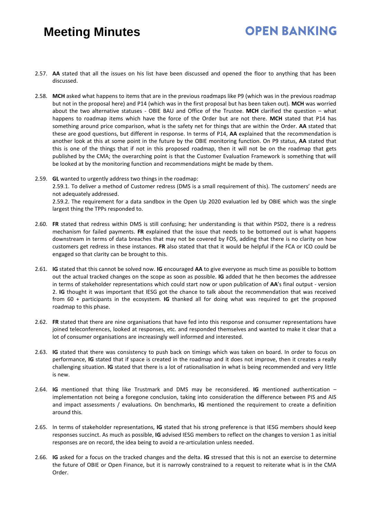#### 2.57. **AA** stated that all the issues on his list have been discussed and opened the floor to anything that has been discussed.

- 2.58. **MCH** asked what happens to items that are in the previous roadmaps like P9 (which was in the previous roadmap but not in the proposal here) and P14 (which was in the first proposal but has been taken out). **MCH** was worried about the two alternative statuses - OBIE BAU and Office of the Trustee. **MCH** clarified the question – what happens to roadmap items which have the force of the Order but are not there. **MCH** stated that P14 has something around price comparison, what is the safety net for things that are within the Order. **AA** stated that these are good questions, but different in response. In terms of P14, **AA** explained that the recommendation is another look at this at some point in the future by the OBIE monitoring function. On P9 status, **AA** stated that this is one of the things that if not in this proposed roadmap, then it will not be on the roadmap that gets published by the CMA; the overarching point is that the Customer Evaluation Framework is something that will be looked at by the monitoring function and recommendations might be made by them.
- 2.59. **GL** wanted to urgently address two things in the roadmap: 2.59.1. To deliver a method of Customer redress (DMS is a small requirement of this). The customers' needs are not adequately addressed. 2.59.2. The requirement for a data sandbox in the Open Up 2020 evaluation led by OBIE which was the single largest thing the TPPs responded to.
- 2.60. **FR** stated that redress within DMS is still confusing; her understanding is that within PSD2, there is a redress mechanism for failed payments. **FR** explained that the issue that needs to be bottomed out is what happens downstream in terms of data breaches that may not be covered by FOS, adding that there is no clarity on how customers get redress in these instances. **FR** also stated that that it would be helpful if the FCA or ICO could be engaged so that clarity can be brought to this.
- 2.61. **IG** stated that this cannot be solved now. **IG** encouraged **AA** to give everyone as much time as possible to bottom out the actual tracked changes on the scope as soon as possible. **IG** added that he then becomes the addressee in terms of stakeholder representations which could start now or upon publication of **AA**'s final output - version 2. **IG** thought it was important that IESG got the chance to talk about the recommendation that was received from 60 + participants in the ecosystem. **IG** thanked all for doing what was required to get the proposed roadmap to this phase.
- 2.62. **FR** stated that there are nine organisations that have fed into this response and consumer representations have joined teleconferences, looked at responses, etc. and responded themselves and wanted to make it clear that a lot of consumer organisations are increasingly well informed and interested.
- 2.63. **IG** stated that there was consistency to push back on timings which was taken on board. In order to focus on performance, **IG** stated that if space is created in the roadmap and it does not improve, then it creates a really challenging situation. **IG** stated that there is a lot of rationalisation in what is being recommended and very little is new.
- 2.64. **IG** mentioned that thing like Trustmark and DMS may be reconsidered. **IG** mentioned authentication implementation not being a foregone conclusion, taking into consideration the difference between PIS and AIS and impact assessments / evaluations. On benchmarks, **IG** mentioned the requirement to create a definition around this.
- 2.65. In terms of stakeholder representations, **IG** stated that his strong preference is that IESG members should keep responses succinct. As much as possible, **IG** advised IESG members to reflect on the changes to version 1 as initial responses are on record, the idea being to avoid a re-articulation unless needed.
- 2.66. **IG** asked for a focus on the tracked changes and the delta. **IG** stressed that this is not an exercise to determine the future of OBIE or Open Finance, but it is narrowly constrained to a request to reiterate what is in the CMA Order.